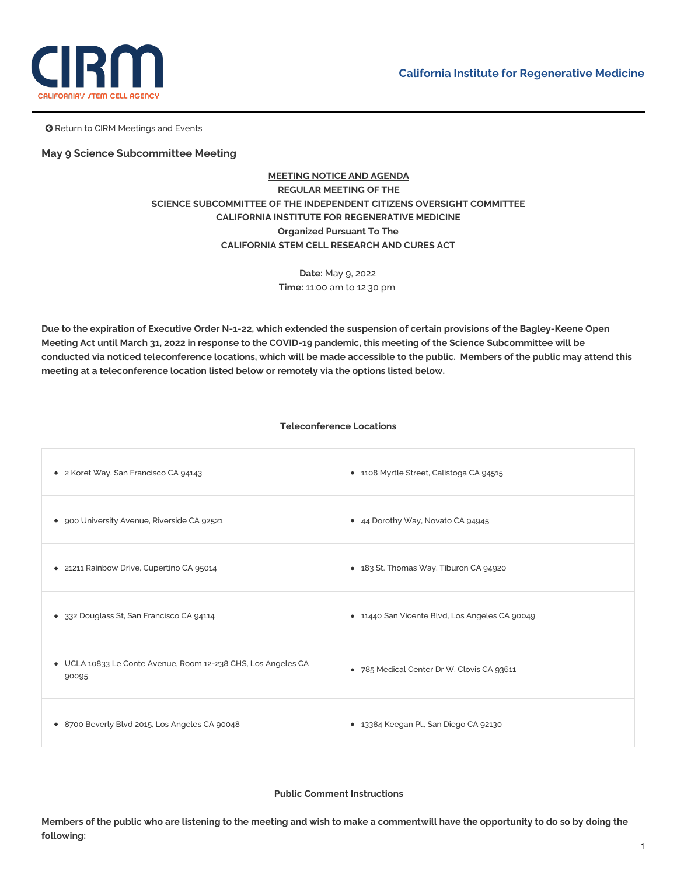

**G** Return to CIRM Meetings and Events

# **May 9 Science Subcommittee Meeting**

# **MEETING NOTICE AND AGENDA REGULAR MEETING OF THE SCIENCE SUBCOMMITTEE OF THE INDEPENDENT CITIZENS OVERSIGHT COMMITTEE CALIFORNIA INSTITUTE FOR REGENERATIVE MEDICINE Organized Pursuant To The CALIFORNIA STEM CELL RESEARCH AND CURES ACT**

**Date:** May 9, 2022 **Time:** 11:00 am to 12:30 pm

Due to the expiration of Executive Order N-1-22, which extended the suspension of certain provisions of the Bagley-Keene Open Meeting Act until March 31, 2022 in response to the COVID-19 pandemic, this meeting of the Science Subcommittee will be conducted via noticed teleconference locations, which will be made accessible to the public. Members of the public may attend this **meeting at a teleconference location listed below or remotely via the options listed below.**

# **Teleconference Locations**

| • 2 Koret Way, San Francisco CA 94143                                  | • 1108 Myrtle Street, Calistoga CA 94515       |
|------------------------------------------------------------------------|------------------------------------------------|
| • 900 University Avenue, Riverside CA 92521                            | • 44 Dorothy Way, Novato CA 94945              |
| • 21211 Rainbow Drive, Cupertino CA 95014                              | • 183 St. Thomas Way, Tiburon CA 94920         |
| • 332 Douglass St, San Francisco CA 94114                              | • 11440 San Vicente Blvd, Los Angeles CA 90049 |
| • UCLA 10833 Le Conte Avenue, Room 12-238 CHS, Los Angeles CA<br>90095 | • 785 Medical Center Dr W, Clovis CA 93611     |
| • 8700 Beverly Blvd 2015, Los Angeles CA 90048                         | • 13384 Keegan Pl., San Diego CA 92130         |

**Public Comment Instructions**

Members of the public who are listening to the meeting and wish to make a commentwill have the opportunity to do so by doing the **following:**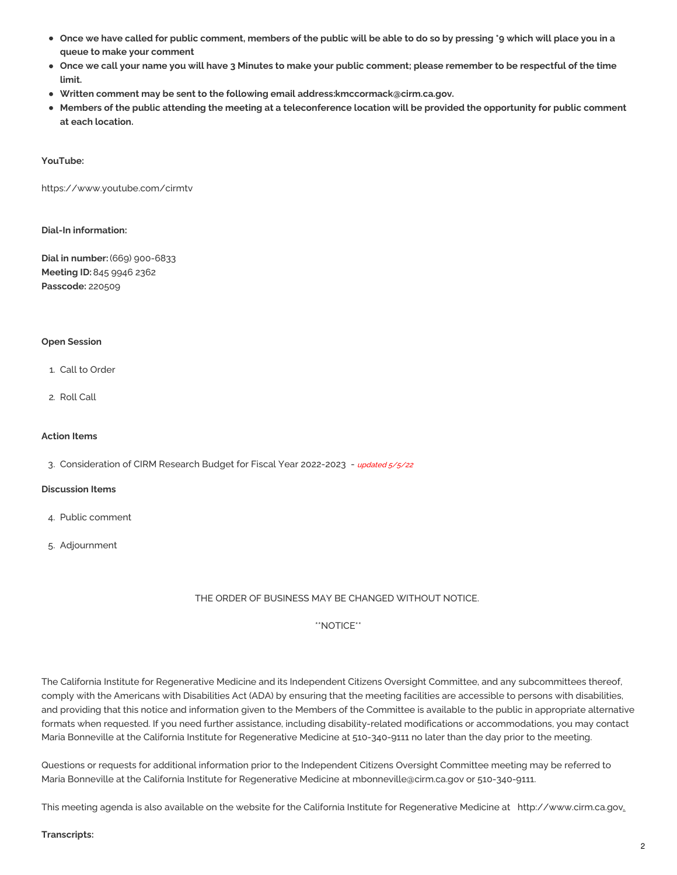- Once we have called for public comment, members of the public will be able to do so by pressing \*9 which will place you in a **queue to make your comment**
- Once we call your name you will have 3 Minutes to make your public comment; please remember to be respectful of the time **limit.**
- **Written comment may be sent to the following email address[:kmccormack@cirm.ca.gov](mailto:kmccormack@cirm.ca.gov).**
- Members of the public attending the meeting at a teleconference location will be provided the opportunity for public comment **at each location.**

### **YouTube:**

<https://www.youtube.com/cirmtv>

## **Dial-In information:**

**Dial in number:** (669) 900-6833 **Meeting ID:**845 9946 2362 **Passcode:** 220509

### **Open Session**

- 1. Call to Order
- 2. Roll Call

#### **Action Items**

3. [Consideration](https://www.cirm.ca.gov/sites/default/files/files/agenda/22%2023%20Research%20Budget%205%209%2022%20FINAL_5_5_22.pdf) of CIRM Research Budget for Fiscal Year 2022-2023 - updated 5/5/22

#### **Discussion Items**

- 4. Public comment
- 5. Adjournment

# THE ORDER OF BUSINESS MAY BE CHANGED WITHOUT NOTICE.

# \*\*NOTICE\*\*

The California Institute for Regenerative Medicine and its Independent Citizens Oversight Committee, and any subcommittees thereof, comply with the Americans with Disabilities Act (ADA) by ensuring that the meeting facilities are accessible to persons with disabilities, and providing that this notice and information given to the Members of the Committee is available to the public in appropriate alternative formats when requested. If you need further assistance, including disability-related modifications or accommodations, you may contact Maria Bonneville at the California Institute for Regenerative Medicine at 510-340-9111 no later than the day prior to the meeting.

Questions or requests for additional information prior to the Independent Citizens Oversight Committee meeting may be referred to Maria Bonneville at the California Institute for Regenerative Medicine at [mbonneville@cirm.ca.gov](mailto:mbonneville@cirm.ca.gov) or 510-340-9111.

This meeting agenda is also available on the website for the California Institute for Regenerative Medicine at <http://www.cirm.ca.gov>.

#### **Transcripts:**